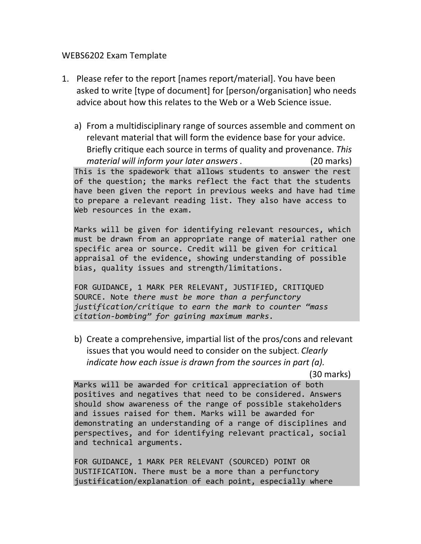## WEBS6202 Exam Template

- 1. Please refer to the report [names report/material]. You have been asked to write [type of document] for [person/organisation] who needs advice about how this relates to the Web or a Web Science issue.
	- a) From a multidisciplinary range of sources assemble and comment on relevant material that will form the evidence base for your advice. Briefly critique each source in terms of quality and provenance. *This material will inform your later answers .* (20 marks) This is the spadework that allows students to answer the rest of the question; the marks reflect the fact that the students have been given the report in previous weeks and have had time to prepare a relevant reading list. They also have access to Web resources in the exam.

Marks will be given for identifying relevant resources, which must be drawn from an appropriate range of material rather one specific area or source. Credit will be given for critical appraisal of the evidence, showing understanding of possible bias, quality issues and strength/limitations.

FOR GUIDANCE, 1 MARK PER RELEVANT, JUSTIFIED, CRITIQUED SOURCE. Note *there must be more than a perfunctory justification/critique to earn the mark to counter "mass citation-bombing" for gaining maximum marks.*

b) Create a comprehensive, impartial list of the pros/cons and relevant issues that you would need to consider on the subject. *Clearly indicate how each issue is drawn from the sources in part (a).* 

(30 marks)

Marks will be awarded for critical appreciation of both positives and negatives that need to be considered. Answers should show awareness of the range of possible stakeholders and issues raised for them. Marks will be awarded for demonstrating an understanding of a range of disciplines and perspectives, and for identifying relevant practical, social and technical arguments.

FOR GUIDANCE, 1 MARK PER RELEVANT (SOURCED) POINT OR JUSTIFICATION. There must be a more than a perfunctory justification/explanation of each point, especially where